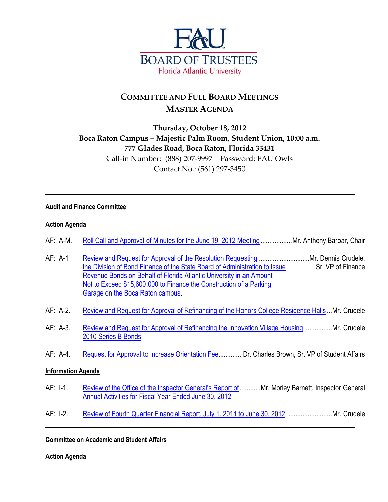

# **COMMITTEE AND FULL BOARD MEETINGS MASTER AGENDA**

## **Thursday, October 18, 2012 Boca Raton Campus – Majestic Palm Room, Student Union, 10:00 a.m. 777 Glades Road, Boca Raton, Florida 33431** Call-in Number: (888) 207-9997 Password: FAU Owls Contact No.: (561) 297-3450

#### **Audit and Finance Committee**

#### **Action Agenda**

| AF: A-M. Roll Call and Approval of Minutes for the June 19, 2012 MeetingMr. Anthony Barbar, Chair |  |
|---------------------------------------------------------------------------------------------------|--|
|---------------------------------------------------------------------------------------------------|--|

- AF: A-1 [Review and Request for Approval of the Resolution Requesting](http://www.fau.edu/bot/meetings/10_18_2012/audit_finance/af_a1.pdf) .............................Mr. Dennis Crudele, [the Division of Bond Finance of the State Board of Administration to Issue](http://www.fau.edu/bot/meetings/10_18_2012/audit_finance/af_a1.pdf) Sr. VP of Finance [Revenue Bonds on Behalf of Florida Atlantic University in an Amount](http://www.fau.edu/bot/meetings/10_18_2012/audit_finance/af_a1.pdf) [Not to Exceed \\$15,600,000 to Finance the Construction of a Parking](http://www.fau.edu/bot/meetings/10_18_2012/audit_finance/af_a1.pdf) [Garage on the Boca Raton campus.](http://www.fau.edu/bot/meetings/10_18_2012/audit_finance/af_a1.pdf)
- AF: A-2. [Review and Request for Approval of Refinancing of the Honors College Residence Halls](http://www.fau.edu/bot/meetings/10_18_2012/audit_finance/af_a2.pdf) ...Mr. Crudele
- AF: A-3. [Review and Request for Approval of Refinancing the Innovation Village Housing](http://www.fau.edu/bot/meetings/10_18_2012/audit_finance/af_a3.pdf) ................Mr. Crudele [2010 Series B Bonds](http://www.fau.edu/bot/meetings/10_18_2012/audit_finance/af_a3.pdf)
- AF: A-4. [Request for Approval to Increase Orientation Fee.](http://www.fau.edu/bot/meetings/10_18_2012/audit_finance/af_a4.pdf)............ Dr. Charles Brown, Sr. VP of Student Affairs

#### **Information Agenda**

- AF: I-1. Review of [the Office of the Inspector General's Report of](http://www.fau.edu/bot/meetings/10_18_2012/audit_finance/af_i1.pdf)............Mr. Morley Barnett, Inspector General [Annual Activities for Fiscal Year Ended June 30, 2012](http://www.fau.edu/bot/meetings/10_18_2012/audit_finance/af_i1.pdf)
- AF: I-2. [Review of Fourth Quarter Financial Report, July 1. 2011 to June 30, 2012](http://www.fau.edu/bot/meetings/10_18_2012/audit_finance/af_i2.pdf) .........................Mr. Crudele

**Committee on Academic and Student Affairs**

**Action Agenda**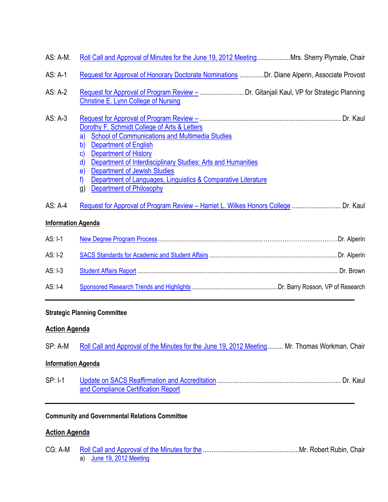| AS: A-M.                  | Roll Call and Approval of Minutes for the June 19, 2012 MeetingMrs. Sherry Plymale, Chair                                                                                                                                                                                                                                                                                                                                            |  |
|---------------------------|--------------------------------------------------------------------------------------------------------------------------------------------------------------------------------------------------------------------------------------------------------------------------------------------------------------------------------------------------------------------------------------------------------------------------------------|--|
| AS: A-1                   | Request for Approval of Honorary Doctorate Nominations Dr. Diane Alperin, Associate Provost                                                                                                                                                                                                                                                                                                                                          |  |
| AS: A-2                   | <b>Christine E. Lynn College of Nursing</b>                                                                                                                                                                                                                                                                                                                                                                                          |  |
| $AS: A-3$                 | Dorothy F. Schmidt College of Arts & Letters<br><b>School of Communications and Multimedia Studies</b><br>a)<br><b>Department of English</b><br>b)<br><b>Department of History</b><br>$\mathsf{c}$<br>Department of Interdisciplinary Studies: Arts and Humanities<br>d)<br><b>Department of Jewish Studies</b><br>e)<br>Department of Languages, Linguistics & Comparative Literature<br>f<br><b>Department of Philosophy</b><br>g) |  |
| AS: A-4                   | Request for Approval of Program Review - Harriet L. Wilkes Honors College  Dr. Kaul                                                                                                                                                                                                                                                                                                                                                  |  |
| <b>Information Agenda</b> |                                                                                                                                                                                                                                                                                                                                                                                                                                      |  |
| AS: I-1                   |                                                                                                                                                                                                                                                                                                                                                                                                                                      |  |
| $AS: I-2$                 |                                                                                                                                                                                                                                                                                                                                                                                                                                      |  |
| AS: I-3                   |                                                                                                                                                                                                                                                                                                                                                                                                                                      |  |
| $AS: I-4$                 |                                                                                                                                                                                                                                                                                                                                                                                                                                      |  |

## **Strategic Planning Committee**

### **Action Agenda**

|  |  |  |  |  |  | SP: A-M Roll Call and Approval of the Minutes for the June 19, 2012 Meeting Mr. Thomas Workman, Chair |
|--|--|--|--|--|--|-------------------------------------------------------------------------------------------------------|
|--|--|--|--|--|--|-------------------------------------------------------------------------------------------------------|

### **Information Agenda**

| $SP: I-1$ |                                     |  |
|-----------|-------------------------------------|--|
|           | and Compliance Certification Report |  |

### **Community and Governmental Relations Committee**

### **Action Agenda**

| a) June 19, 2012 Meeting |  |  |  |
|--------------------------|--|--|--|